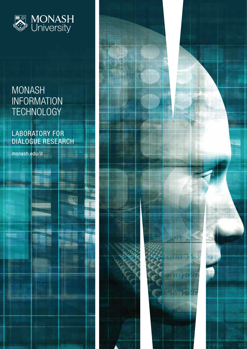

# MONASH INFORMATION TECHNOLOGY

# LABORATORY FOR DIALOGUE RESEARCH

T

monash.edu/it

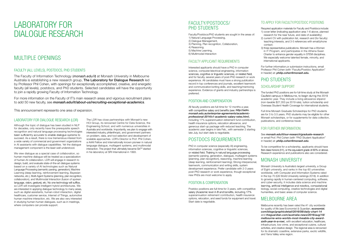# LABORATORY FOR DIALOGUE RESEARCH

# MULTIPLE OPENINGS

#### FACULTY (ALL LEVELS), POSTDOCS, PHD STUDENTS

The Faculty of Information Technology (*monash.edu/it*) at Monash University in Melbourne Australia is establishing a new research group, The Laboratory for Dialogue Research led by Professor Phil Cohen, with openings for exceptionally accomplished, creative, and energetic faculty (all levels), postdocs, and PhD students. Selected candidates will have the opportunity to join a rapidly growing Faculty of Information Technology.

For more information on the Faculty of IT's main research areas and vigorous recruitment plans to add 50 new faculty, see *monash.edu/it/about-us/recruiting-exceptional-academics*.

This announcement represents one area of expansion.

#### LABORATORY FOR DIALOGUE RESEARCH (LDR)

Although the topic of dialogue has been studied in NLP for decades, only recently have the prerequisite speech recognition and natural language processing technologies been sufficiently accurate to enable dialogue systems to succeed. As a result, there is now tremendous interest from a wide variety of commercial and government organizations in AI assistants with dialogue capabilities. Yet the dialogue management component is the least well understood.

We view dialogue as a special case of collaboration, so human-machine dialogue will be treated as a specialization of human-AI collaboration. LDR will engage in research to design, build, and evaluate state-of-the-art dialogue systems based on a variety of AI technologies such as Natural Language Processing (semantic parsing, generation), Machine Learning (deep learning, reinforcement learning, Bayesian networks, etc.), Multi-Agent Systems (planning, plan recognition, collaboration), and Multimodal Interaction (fusion of spoken language, vision, gesture), etc. No one technology will suffice, so LDR will investigate intelligent hybrid architectures. We are interested in applying dialogue technology to many areas, such as digital assistants, human-robot interaction, digital healthcare, customer service, Internet of Things, automotive human machine interaction, etc. We are also very interested in studying human-human dialogues, such as in meetings, where computers can provide support.

The LDR has close partnerships with Monash's new HCI Group, its renowned Centre for Data Science, the Engineering School, and with numerous universities in Australia and worldwide. Importantly, we plan to engage with interested industry, philanthropic, and government partners on problem, data, and tool selection and development of scalable approaches. LDR's Director is Prof. Phil Cohen, a AAAI Fellow and internationally known pioneer in natural language dialogue, multiagent systems, and multimodal interaction. The project that ultimately became Siri™ started in his laboratory at SRI International in 1993.

#### FACULTY/POSTDOCS/ PHD STUDENTS

| Faculty/Postdocs/PhD students are sought in the areas of: |
|-----------------------------------------------------------|
| 1) Natural Language Processing,                           |
| 2) Dialogue Management,                                   |
| 3) Planning, Plan recognition, Collaboration,             |
| 4) Reasoning,                                             |
| 5) Machine Learning,                                      |
| 6) Multimodal Interaction                                 |

#### FACULTY APPLICANT REQUIREMENTS

Interested applicants should have a PhD in computer science, computer/electrical engineering, information sciences, cognitive or linguistic sciences, or related field, and for faculty, several years of post-PhD research or work experience. All candidates must have a strong publication record in top conferences and journals, excellent teamwork and communication/writing skills, and teaching/mentoring experience. Evidence of grants and industry partnerships is preferred.

#### POSITION AND COMPENSATION

All faculty positions are full-time for 12 months a year, with competitive salary and benefits (see: **http://adm.** *monash.edu.au/enterprise-agreements/academicprofessional-2014/s1-academic-salary-rates.html*), including 17% superannuation retirement fund contribution, health insurance options, relocation allowance, and generous start-up package with reduced teaching. The academic year begins in late Feb., with semester 2 starting late July, but start date is negotiable.

### POSTDOCS REQUIREMENTS

PhD in computer science (especially AI) engineering, information sciences, cognitive or linguistic sciences, or related field; Training in natural language processing (semantic parsing, generation, dialogue), multiagent systems (planning, plan recognition), reasoning, machine learning (deep learning, reinforcement learning); Strong interpersonal, teamwork, communication and writing skills, system development experience. Prefer candidate with 2-3 years post-PhD research or work experience, though exceptional new PhDs are most welcome to apply.

#### POSITION & COMPENSATION

Postdoc positions are full-time for 3 years, with competitive salary (Academic level A-B and benefits, including 17% superannuation retirement contribution, health insurance options, relocation, and seed funds for equipment and travel. Start date is negotiable.

Required application materials for Faculty and Postdocs include: 1) cover letter (indicating application area 1-6 above, planned research for the near future, and date of availability); 2) current CV with publication list, research and (for faculty) teaching interests, and 3-5 references with email/phone contact;

#### TO APPLY FOR FACULTY/POSTDOC POSITIONS

3) three representative publications. Monash has a Women in IT Program, and participates in the Athena Swan Charter to enhance gender equality in STEM disciplines. We especially welcome talented female, minority, and international applicants.

For further information,or submission instructions, email Professor Phil Cohen (with "Faculty/Postdoc Application" in header) at: *philip.cohen@monash.edu.*

# PHD STUDENTS

#### SCHOLARSHIP SUPPORT

The funded PhD positions are for full-time study at the Monash Caufield campus in Melbourne, to begin during the 2019 academic year. They include a living allowance stipend (non-taxable \$27,353 pa 2019 rate), tuition scholarship and Overseas Student Health Coverage for international students.

Full-time Monash Graduate Scholarships for PhD students are for 3 to 3.5 years. PhD students may be eligible for other Monash scholarships, or for supplements for data collection, publications, and conference travel.

#### FOR FURTHER INFORMATION:

See *monash.edu/it/our-research/graduate-research* or email Prof. Phil Cohen (with "PhD Student Application" in header) at: *philip.cohen@monash.edu*.

To be competitive for a scholarship, applicants should have first-class honors (H1), or the equivalent grade of 80% or above. Research experience and publications also are considered.

## MONASH UNIVERSITY

Monash University is Australia's largest university, a Group of Eight university, and ranks in the top 60 universities worldwide, with Computer and Information Systems rated in the top 70 (QS World University rankings 2018). In addition to growing rapidly in human-centered computing, software, and cyber-security, it includes data science and machine learning, artificial intelligence and robotics, computational biology, social computing, creative technologies and digital humanities, and basic areas of computer science. MELBOURNE AREA

Melbourne recently has been rated the #1 city worldwide for quality of life (see Economist & Guardian, *economist. com/blogs/graphicdetail/2016/08/daily-chart-14* and *theguardian.com/australia-news/2016/aug/18/ melbourne-wins-worlds-most-liveable-city-award*sixth-year-in-a-row), with excellent education, healthcare, infrastructure, low crime, and exceptional cuisine, cultural activities, and creative design. The regional area is renowned for its dramatic coastline, extensive parks, exotic wildlife, and Yarra Valley wine region.